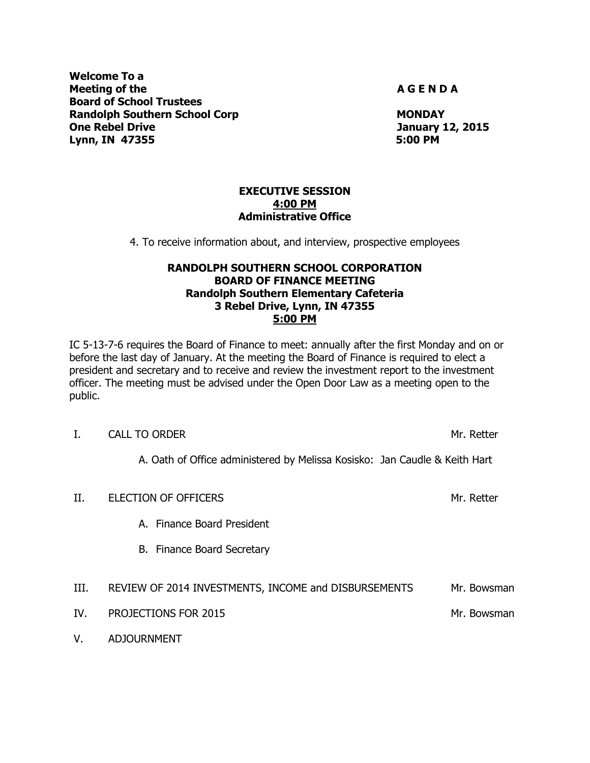**Welcome To a Meeting of the A G E N D A Board of School Trustees Randolph Southern School Corp MONDAY MONDAY One Rebel Drive Cones and Cones Act of the United States of the United States Act of the United States Act of the United States Act of the United States Act of the United States Act of the United States Act of the United Lynn, IN 47355 5:00 PM**

V. ADJOURNMENT

#### **EXECUTIVE SESSION 4:00 PM Administrative Office**

4. To receive information about, and interview, prospective employees

## **RANDOLPH SOUTHERN SCHOOL CORPORATION BOARD OF FINANCE MEETING Randolph Southern Elementary Cafeteria 3 Rebel Drive, Lynn, IN 47355 5:00 PM**

IC 5-13-7-6 requires the Board of Finance to meet: annually after the first Monday and on or before the last day of January. At the meeting the Board of Finance is required to elect a president and secretary and to receive and review the investment report to the investment officer. The meeting must be advised under the Open Door Law as a meeting open to the public.

|      | <b>CALL TO ORDER</b>                                                       | Mr. Retter  |
|------|----------------------------------------------------------------------------|-------------|
|      | A. Oath of Office administered by Melissa Kosisko: Jan Caudle & Keith Hart |             |
| Н.   | ELECTION OF OFFICERS                                                       | Mr. Retter  |
|      | A. Finance Board President                                                 |             |
|      | B. Finance Board Secretary                                                 |             |
| III. | REVIEW OF 2014 INVESTMENTS, INCOME and DISBURSEMENTS                       | Mr. Bowsman |
| IV.  | PROJECTIONS FOR 2015                                                       | Mr. Bowsman |
|      |                                                                            |             |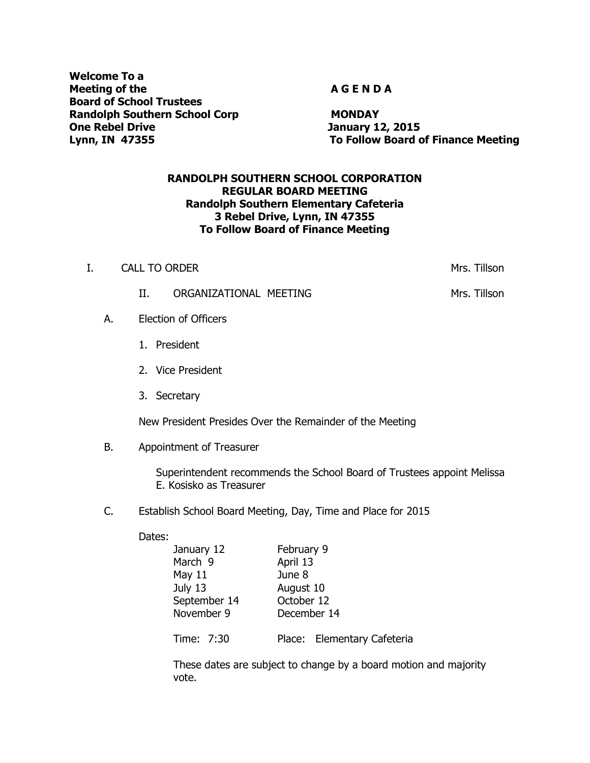**Welcome To a Meeting of the A G E N D A Board of School Trustees Randolph Southern School Corp MONDAY One Rebel Drive January 12, 2015**

**Lynn, IN 47355 To Follow Board of Finance Meeting**

#### **RANDOLPH SOUTHERN SCHOOL CORPORATION REGULAR BOARD MEETING Randolph Southern Elementary Cafeteria 3 Rebel Drive, Lynn, IN 47355 To Follow Board of Finance Meeting**

I. CALL TO ORDER Mrs. Tillson

|    | П.                          | ORGANIZATIONAL MEETING | Mrs. Tillson |
|----|-----------------------------|------------------------|--------------|
| А. | <b>Election of Officers</b> |                        |              |
|    |                             | 1. President           |              |
|    |                             | 2. Vice President      |              |
|    |                             | 3. Secretary           |              |

New President Presides Over the Remainder of the Meeting

B. Appointment of Treasurer

Superintendent recommends the School Board of Trustees appoint Melissa E. Kosisko as Treasurer

C. Establish School Board Meeting, Day, Time and Place for 2015

#### Dates:

| January 12   | February 9                  |  |  |  |
|--------------|-----------------------------|--|--|--|
| March 9      | April 13                    |  |  |  |
| May $11$     | June 8                      |  |  |  |
| July 13      | August 10                   |  |  |  |
| September 14 | October 12                  |  |  |  |
| November 9   | December 14                 |  |  |  |
| Time: 7:30   | Place: Elementary Cafeteria |  |  |  |

These dates are subject to change by a board motion and majority vote.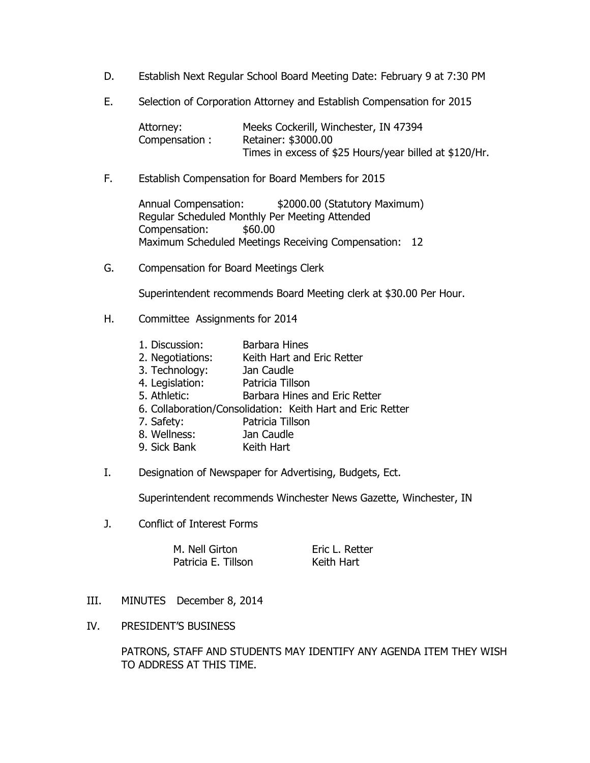- D. Establish Next Regular School Board Meeting Date: February 9 at 7:30 PM
- E. Selection of Corporation Attorney and Establish Compensation for 2015

Attorney: Meeks Cockerill, Winchester, IN 47394 Compensation : Retainer: \$3000.00 Times in excess of \$25 Hours/year billed at \$120/Hr.

F. Establish Compensation for Board Members for 2015

Annual Compensation: \$2000.00 (Statutory Maximum) Regular Scheduled Monthly Per Meeting Attended Compensation: \$60.00 Maximum Scheduled Meetings Receiving Compensation: 12

G. Compensation for Board Meetings Clerk

Superintendent recommends Board Meeting clerk at \$30.00 Per Hour.

- H. Committee Assignments for 2014
	- 1. Discussion: Barbara Hines
	- 2. Negotiations: Keith Hart and Eric Retter
	- 3. Technology: Jan Caudle
	- 4. Legislation: Patricia Tillson
	- 5. Athletic: Barbara Hines and Eric Retter
	- 6. Collaboration/Consolidation: Keith Hart and Eric Retter
	- 7. Safety: Patricia Tillson
	- 8. Wellness: Jan Caudle
	- 9. Sick Bank Keith Hart
- I. Designation of Newspaper for Advertising, Budgets, Ect.

Superintendent recommends Winchester News Gazette, Winchester, IN

J. Conflict of Interest Forms

M. Nell Girton **Eric L. Retter** Patricia E. Tillson Keith Hart

- III. MINUTES December 8, 2014
- IV. PRESIDENT'S BUSINESS

PATRONS, STAFF AND STUDENTS MAY IDENTIFY ANY AGENDA ITEM THEY WISH TO ADDRESS AT THIS TIME.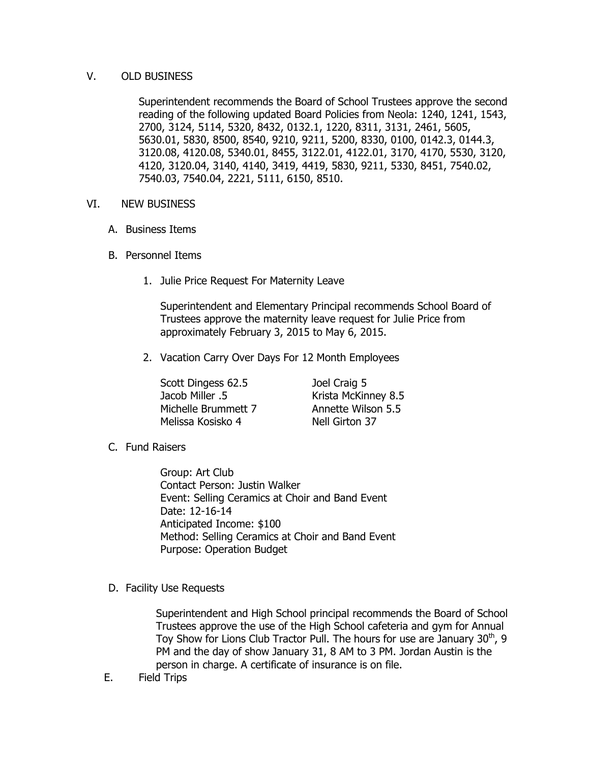## V. OLD BUSINESS

Superintendent recommends the Board of School Trustees approve the second reading of the following updated Board Policies from Neola: 1240, 1241, 1543, 2700, 3124, 5114, 5320, 8432, 0132.1, 1220, 8311, 3131, 2461, 5605, 5630.01, 5830, 8500, 8540, 9210, 9211, 5200, 8330, 0100, 0142.3, 0144.3, 3120.08, 4120.08, 5340.01, 8455, 3122.01, 4122.01, 3170, 4170, 5530, 3120, 4120, 3120.04, 3140, 4140, 3419, 4419, 5830, 9211, 5330, 8451, 7540.02, 7540.03, 7540.04, 2221, 5111, 6150, 8510.

#### VI. NEW BUSINESS

- A. Business Items
- B. Personnel Items
	- 1. Julie Price Request For Maternity Leave

Superintendent and Elementary Principal recommends School Board of Trustees approve the maternity leave request for Julie Price from approximately February 3, 2015 to May 6, 2015.

2. Vacation Carry Over Days For 12 Month Employees

Scott Dingess 62.5 Joel Craig 5 Jacob Miller .5 Krista McKinney 8.5 Michelle Brummett 7 Annette Wilson 5.5 Melissa Kosisko 4 Nell Girton 37

C. Fund Raisers

Group: Art Club Contact Person: Justin Walker Event: Selling Ceramics at Choir and Band Event Date: 12-16-14 Anticipated Income: \$100 Method: Selling Ceramics at Choir and Band Event Purpose: Operation Budget

D. Facility Use Requests

Superintendent and High School principal recommends the Board of School Trustees approve the use of the High School cafeteria and gym for Annual Toy Show for Lions Club Tractor Pull. The hours for use are January  $30<sup>th</sup>$ , 9 PM and the day of show January 31, 8 AM to 3 PM. Jordan Austin is the person in charge. A certificate of insurance is on file.

E. Field Trips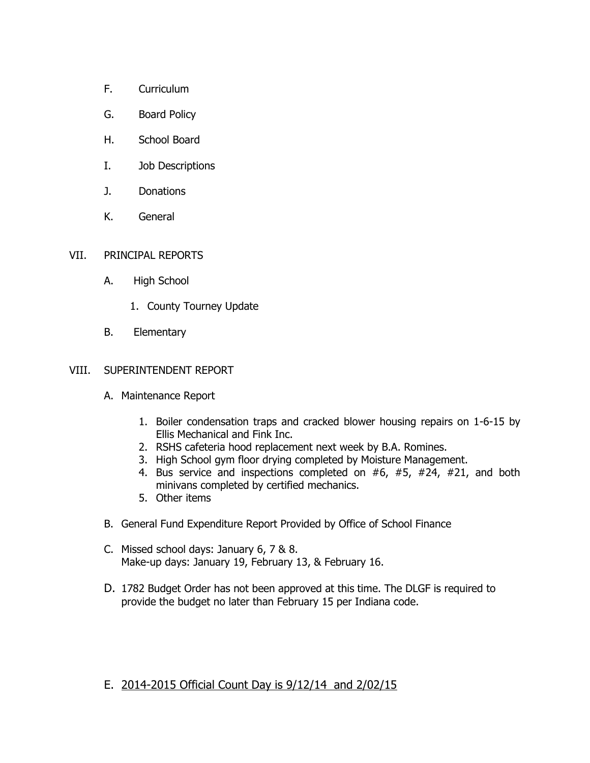- F. Curriculum
- G. Board Policy
- H. School Board
- I. Job Descriptions
- J. Donations
- K. General

## VII. PRINCIPAL REPORTS

- A. High School
	- 1. County Tourney Update
- B. Elementary

## VIII. SUPERINTENDENT REPORT

- A. Maintenance Report
	- 1. Boiler condensation traps and cracked blower housing repairs on 1-6-15 by Ellis Mechanical and Fink Inc.
	- 2. RSHS cafeteria hood replacement next week by B.A. Romines.
	- 3. High School gym floor drying completed by Moisture Management.
	- 4. Bus service and inspections completed on #6, #5, #24, #21, and both minivans completed by certified mechanics.
	- 5. Other items
- B. General Fund Expenditure Report Provided by Office of School Finance
- C. Missed school days: January 6, 7 & 8. Make-up days: January 19, February 13, & February 16.
- D. 1782 Budget Order has not been approved at this time. The DLGF is required to provide the budget no later than February 15 per Indiana code.

# E. 2014-2015 Official Count Day is 9/12/14 and 2/02/15